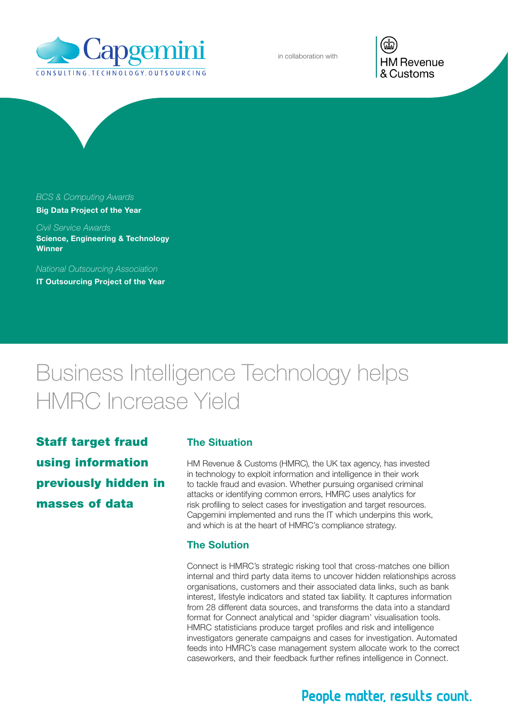

in collaboration with

**HM Revenue** & Customs

## *BCS & Computing Awards*

Big Data Project of the Year

*Civil Service Awards* Science, Engineering & Technology **Winner** 

*National Outsourcing Association*

IT Outsourcing Project of the Year

# Business Intelligence Technology helps HMRC Increase Yield

Staff target fraud using information previously hidden in masses of data

#### The Situation

HM Revenue & Customs (HMRC), the UK tax agency, has invested in technology to exploit information and intelligence in their work to tackle fraud and evasion. Whether pursuing organised criminal attacks or identifying common errors, HMRC uses analytics for risk profiling to select cases for investigation and target resources. Capgemini implemented and runs the IT which underpins this work, and which is at the heart of HMRC's compliance strategy.

#### The Solution

Connect is HMRC's strategic risking tool that cross-matches one billion internal and third party data items to uncover hidden relationships across organisations, customers and their associated data links, such as bank interest, lifestyle indicators and stated tax liability. It captures information from 28 different data sources, and transforms the data into a standard format for Connect analytical and 'spider diagram' visualisation tools. HMRC statisticians produce target profiles and risk and intelligence investigators generate campaigns and cases for investigation. Automated feeds into HMRC's case management system allocate work to the correct caseworkers, and their feedback further refines intelligence in Connect.

# People matter, results count.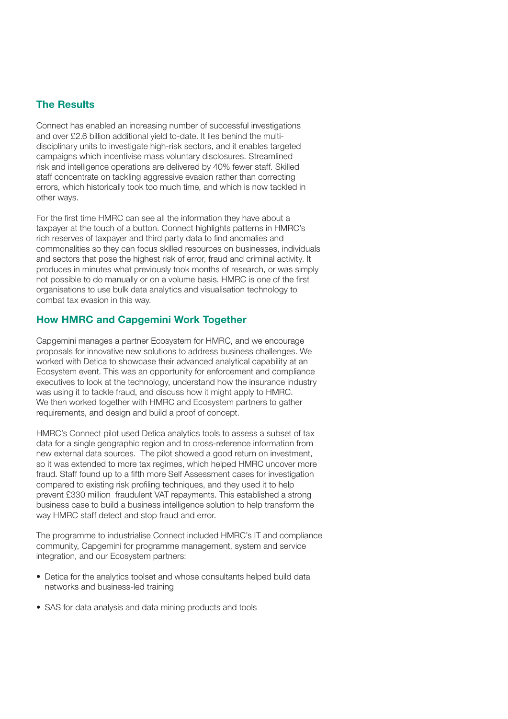### The Results

Connect has enabled an increasing number of successful investigations and over £2.6 billion additional yield to-date. It lies behind the multidisciplinary units to investigate high-risk sectors, and it enables targeted campaigns which incentivise mass voluntary disclosures. Streamlined risk and intelligence operations are delivered by 40% fewer staff. Skilled staff concentrate on tackling aggressive evasion rather than correcting errors, which historically took too much time, and which is now tackled in other ways.

For the first time HMRC can see all the information they have about a taxpayer at the touch of a button. Connect highlights patterns in HMRC's rich reserves of taxpayer and third party data to find anomalies and commonalities so they can focus skilled resources on businesses, individuals and sectors that pose the highest risk of error, fraud and criminal activity. It produces in minutes what previously took months of research, or was simply not possible to do manually or on a volume basis. HMRC is one of the first organisations to use bulk data analytics and visualisation technology to combat tax evasion in this way.

#### How HMRC and Capgemini Work Together

Capgemini manages a partner Ecosystem for HMRC, and we encourage proposals for innovative new solutions to address business challenges. We worked with Detica to showcase their advanced analytical capability at an Ecosystem event. This was an opportunity for enforcement and compliance executives to look at the technology, understand how the insurance industry was using it to tackle fraud, and discuss how it might apply to HMRC. We then worked together with HMRC and Ecosystem partners to gather requirements, and design and build a proof of concept.

HMRC's Connect pilot used Detica analytics tools to assess a subset of tax data for a single geographic region and to cross-reference information from new external data sources. The pilot showed a good return on investment, so it was extended to more tax regimes, which helped HMRC uncover more fraud. Staff found up to a fifth more Self Assessment cases for investigation compared to existing risk profiling techniques, and they used it to help prevent £330 million fraudulent VAT repayments. This established a strong business case to build a business intelligence solution to help transform the way HMRC staff detect and stop fraud and error.

The programme to industrialise Connect included HMRC's IT and compliance community, Capgemini for programme management, system and service integration, and our Ecosystem partners:

- Detica for the analytics toolset and whose consultants helped build data networks and business-led training
- SAS for data analysis and data mining products and tools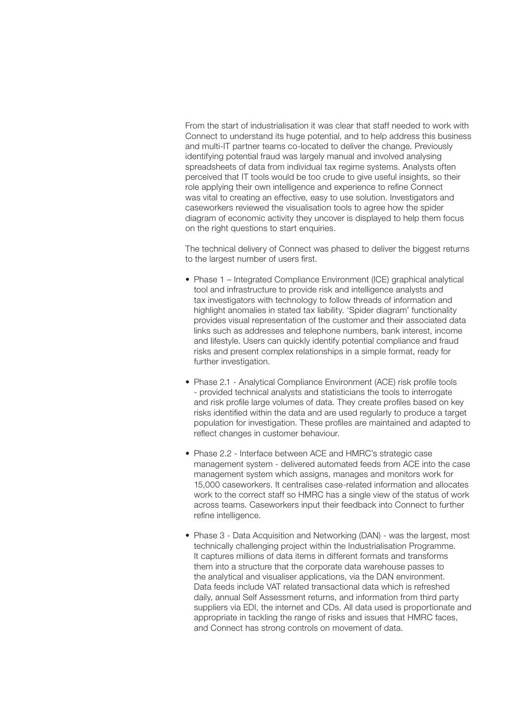From the start of industrialisation it was clear that staff needed to work with Connect to understand its huge potential, and to help address this business and multi-IT partner teams co-located to deliver the change. Previously identifying potential fraud was largely manual and involved analysing spreadsheets of data from individual tax regime systems. Analysts often perceived that IT tools would be too crude to give useful insights, so their role applying their own intelligence and experience to refine Connect was vital to creating an effective, easy to use solution. Investigators and caseworkers reviewed the visualisation tools to agree how the spider diagram of economic activity they uncover is displayed to help them focus on the right questions to start enquiries.

The technical delivery of Connect was phased to deliver the biggest returns to the largest number of users first.

- Phase 1 Integrated Compliance Environment (ICE) graphical analytical tool and infrastructure to provide risk and intelligence analysts and tax investigators with technology to follow threads of information and highlight anomalies in stated tax liability. 'Spider diagram' functionality provides visual representation of the customer and their associated data links such as addresses and telephone numbers, bank interest, income and lifestyle. Users can quickly identify potential compliance and fraud risks and present complex relationships in a simple format, ready for further investigation.
- Phase 2.1 Analytical Compliance Environment (ACE) risk profile tools - provided technical analysts and statisticians the tools to interrogate and risk profile large volumes of data. They create profiles based on key risks identified within the data and are used regularly to produce a target population for investigation. These profiles are maintained and adapted to reflect changes in customer behaviour.
- Phase 2.2 Interface between ACE and HMRC's strategic case management system - delivered automated feeds from ACE into the case management system which assigns, manages and monitors work for 15,000 caseworkers. It centralises case-related information and allocates work to the correct staff so HMRC has a single view of the status of work across teams. Caseworkers input their feedback into Connect to further refine intelligence.
- Phase 3 Data Acquisition and Networking (DAN) was the largest, most technically challenging project within the Industrialisation Programme. It captures millions of data items in different formats and transforms them into a structure that the corporate data warehouse passes to the analytical and visualiser applications, via the DAN environment. Data feeds include VAT related transactional data which is refreshed daily, annual Self Assessment returns, and information from third party suppliers via EDI, the internet and CDs. All data used is proportionate and appropriate in tackling the range of risks and issues that HMRC faces, and Connect has strong controls on movement of data.